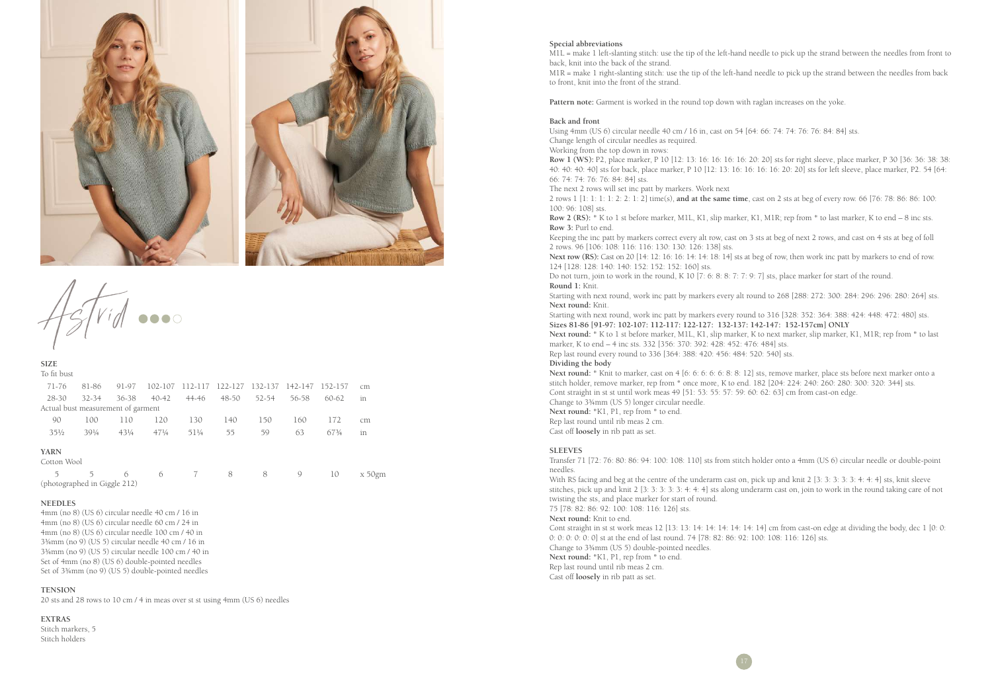

 $\widetilde{Vid}$  ...

**SIZE** To fit bust

| 71-76                              | 81-86           | 91-97           | 102-107         | 112-117 | 122-127 | 132-137 | 142-147 | 152-157   | cm        |
|------------------------------------|-----------------|-----------------|-----------------|---------|---------|---------|---------|-----------|-----------|
| $28 - 30$                          | $32 - 34$       | $36 - 38$       | $40 - 42$       | 44-46   | 48-50   | 52-54   | 56-58   | $60 - 62$ | in        |
| Actual bust measurement of garment |                 |                 |                 |         |         |         |         |           |           |
| 90                                 | 100             | 110             | 120             | 130     | 140     | 150     | 160     | 172       | cm        |
| $35\frac{1}{2}$                    | $39\frac{1}{4}$ | $43\frac{1}{4}$ | $47\frac{1}{4}$ | 51¼     | 55      | 59      | 63      | 673/4     | in        |
| <b>YARN</b><br>Cotton Wool         |                 |                 |                 |         |         |         |         |           |           |
| 5                                  | 5               | 6               | 6               | 7       | 8       | 8       | 9       | 10        | $x 50$ gm |
| (photographed in Giggle 212)       |                 |                 |                 |         |         |         |         |           |           |

#### **NEEDLES**

4mm (no 8) (US 6) circular needle 40 cm / 16 in 4mm (no 8) (US 6) circular needle 60 cm / 24 in 4mm (no 8) (US 6) circular needle 100 cm / 40 in 3¾mm (no 9) (US 5) circular needle 40 cm / 16 in 3¾mm (no 9) (US 5) circular needle 100 cm / 40 in Set of 4mm (no 8) (US 6) double-pointed needles Set of 3¾mm (no 9) (US 5) double-pointed needles

#### **TENSION**

20 sts and 28 rows to 10 cm / 4 in meas over st st using 4mm (US 6) needles

#### **EXTRAS**

Stitch markers, 5 Stitch holders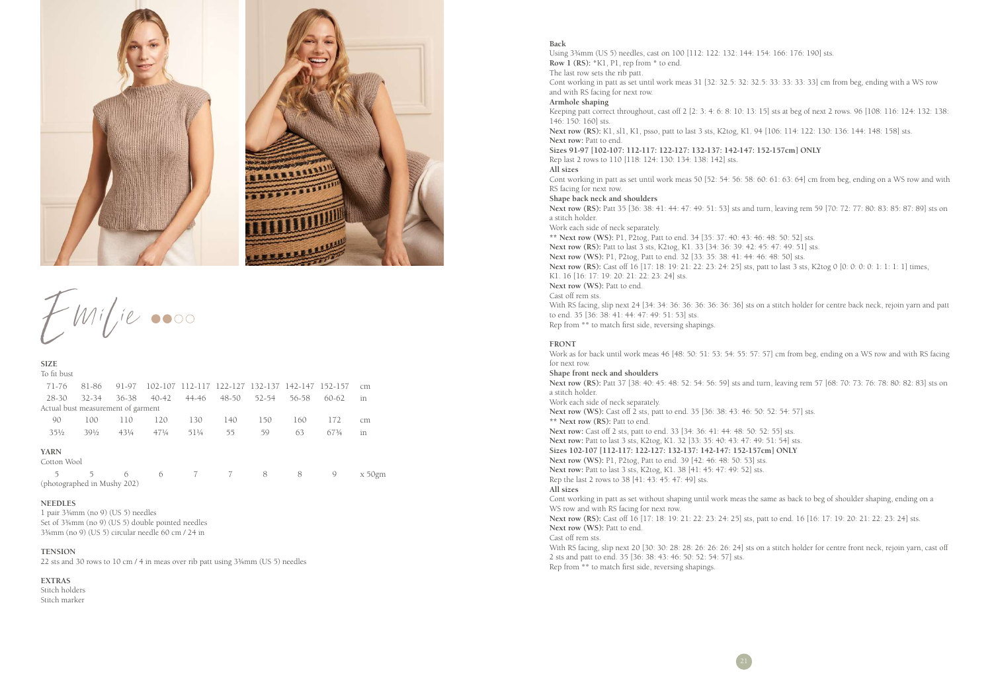

 $EMil$ ie 0000

| <b>SIZE</b>                        |                 |                 |                 |       |                                         |       |       |           |            |
|------------------------------------|-----------------|-----------------|-----------------|-------|-----------------------------------------|-------|-------|-----------|------------|
| To fit bust                        |                 |                 |                 |       |                                         |       |       |           |            |
| 71-76                              | 81-86           | 91-97           | 102-107         |       | 112-117 122-127 132-137 142-147 152-157 |       |       |           | cm         |
| 28-30                              | $32 - 34$       | 36-38           | $40 - 42$       | 44-46 | $48 - 50$                               | 52-54 | 56-58 | $60 - 62$ | in         |
| Actual bust measurement of garment |                 |                 |                 |       |                                         |       |       |           |            |
| 90                                 | 100             | 110             | 120             | 130   | 140                                     | 150   | 160   | 172       | cm         |
| $35\frac{1}{2}$                    | $39\frac{1}{2}$ | $43\frac{1}{4}$ | $47\frac{1}{4}$ | 511/4 | 55                                      | 59    | 63    | 673/4     | in         |
| <b>YARN</b><br>Cotton Wool         |                 |                 |                 |       |                                         |       |       |           |            |
| 5                                  | 5               | 6               | 6               | 7     | 7                                       | 8     | 8     | 9         | $x\,50$ gm |
| (photographed in Mushy 202)        |                 |                 |                 |       |                                         |       |       |           |            |

## **NEEDLES**

1 pair 3¾mm (no 9) (US 5) needles Set of 3¾mm (no 9) (US 5) double pointed needles 3¾mm (no 9) (US 5) circular needle 60 cm / 24 in

# **TENSION**

22 sts and 30 rows to 10 cm / 4 in meas over rib patt using 3¾mm (US 5) needles

## **EXTRAS**

Stitch holders Stitch marker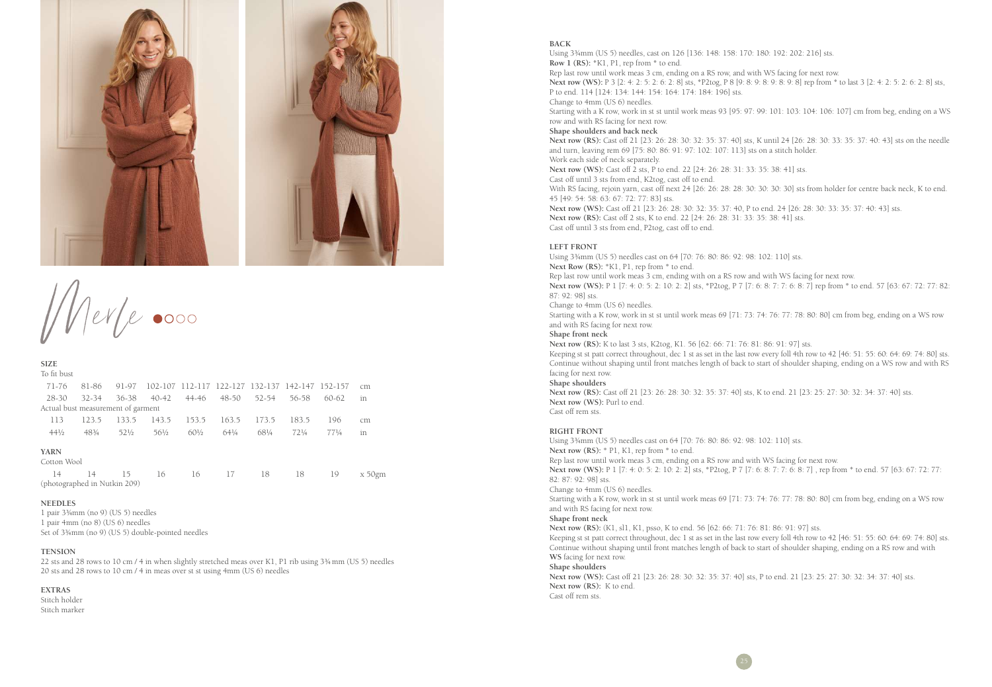

Merle 0000

| <b>SIZE</b>                        |           |       |                 |                 |                 |       |                                                 |                 |           |
|------------------------------------|-----------|-------|-----------------|-----------------|-----------------|-------|-------------------------------------------------|-----------------|-----------|
| To fit bust                        |           |       |                 |                 |                 |       |                                                 |                 |           |
| 71-76                              | 81-86     | 91-97 |                 |                 |                 |       | 102-107 112-117 122-127 132-137 142-147 152-157 |                 | cm        |
| 28-30                              | $32 - 34$ | 36-38 | $40 - 42$       | 44-46           | 48-50           | 52-54 | 56-58                                           | 60-62           | in        |
| Actual bust measurement of garment |           |       |                 |                 |                 |       |                                                 |                 |           |
| 113                                | 123.5     | 133.5 | 143.5           | 153.5           | 163.5           | 173.5 | 183.5                                           | 196             | cm        |
| $44\frac{1}{2}$                    | 483/4     | 521/2 | $56\frac{1}{2}$ | $60\frac{1}{2}$ | $64\frac{1}{4}$ | 681/4 | $72\frac{1}{4}$                                 | $77\frac{1}{4}$ | in        |
| <b>YARN</b><br>Cotton Wool         |           |       |                 |                 |                 |       |                                                 |                 |           |
| 14<br>(photographed in Nutkin 209) | 14        | 15    | 16              | 16              | 17              | 18    | 18                                              | 19              | $x 50$ gm |

## **NEEDLES**

1 pair 3¾mm (no 9) (US 5) needles 1 pair 4mm (no 8) (US 6) needles Set of 3¾mm (no 9) (US 5) double-pointed needles

# **TENSION**

22 sts and 28 rows to 10 cm / 4 in when slightly stretched meas over K1, P1 rib using 3¾mm (US 5) needles 20 sts and 28 rows to 10 cm / 4 in meas over st st using 4mm (US 6) needles

### **EXTRAS**

Stitch holder Stitch marker